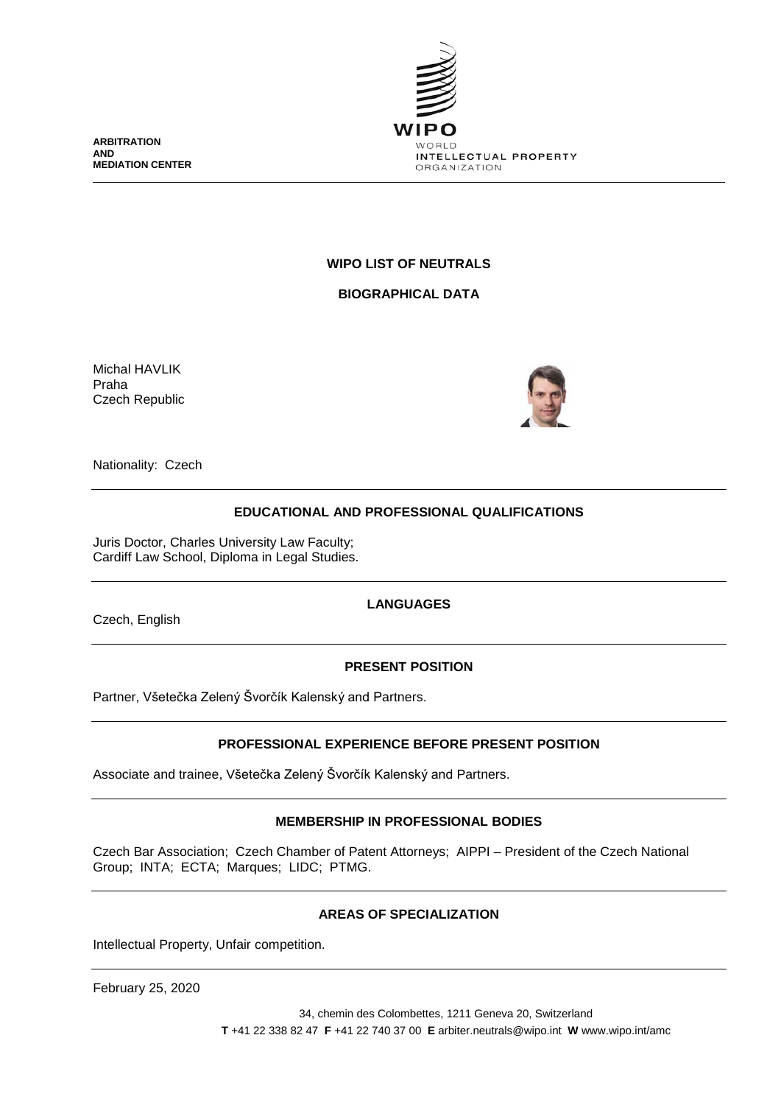

**ARBITRATION AND MEDIATION CENTER**

## **WIPO LIST OF NEUTRALS**

**BIOGRAPHICAL DATA**

Michal HAVLIK Praha Czech Republic



Nationality: Czech

# **EDUCATIONAL AND PROFESSIONAL QUALIFICATIONS**

Juris Doctor, Charles University Law Faculty; Cardiff Law School, Diploma in Legal Studies.

Czech, English

## **LANGUAGES**

## **PRESENT POSITION**

Partner, Všetečka Zelený Švorčík Kalenský and Partners.

## **PROFESSIONAL EXPERIENCE BEFORE PRESENT POSITION**

Associate and trainee, Všetečka Zelený Švorčík Kalenský and Partners.

## **MEMBERSHIP IN PROFESSIONAL BODIES**

Czech Bar Association; Czech Chamber of Patent Attorneys; AIPPI – President of the Czech National Group; INTA; ECTA; Marques; LIDC; PTMG.

## **AREAS OF SPECIALIZATION**

Intellectual Property, Unfair competition.

February 25, 2020